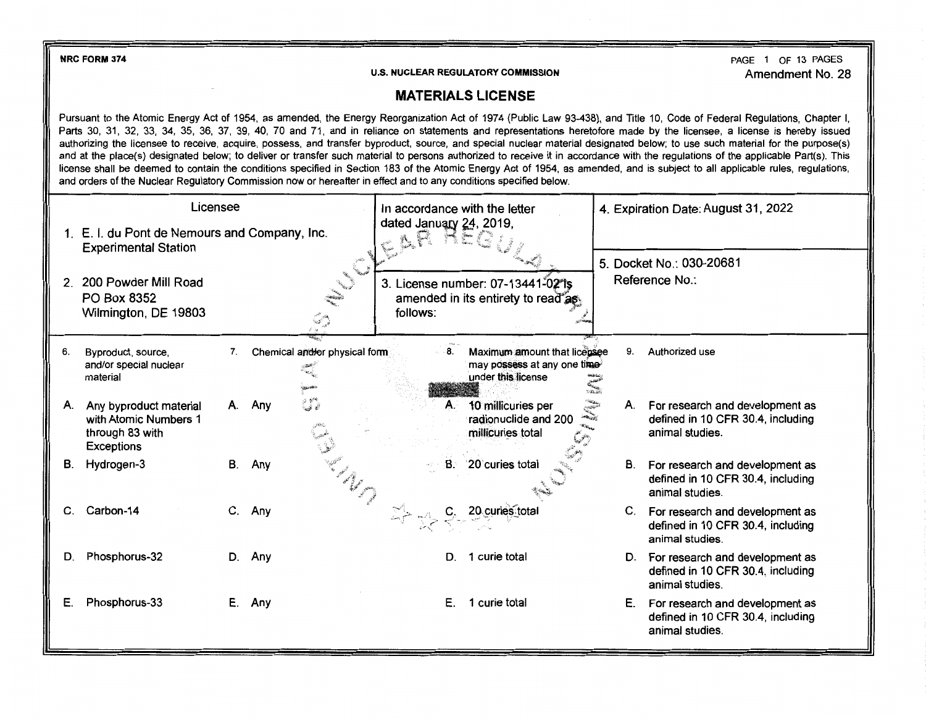**NRC FORM 374** 

PAGE 1 OF 13 PAGES Amendment No. 28

## **MATERIALS LICENSE**

Pursuant to the Atomic Energy Act of 1954, as amended, the Energy Reorganization Act of 1974 (Public Law 93-438), and Title 10, Code of Federal Regulations, Chapter I, Parts 30, 31, 32, 33, 34, 35, 36, 37, 39, 40, 70 and 71, and in reliance on statements and representations heretofore made by the licensee, a license is hereby issued authorizing the licensee to receive, acquire, possess, and transfer byproduct, source, and special nuclear material designated below; to use such material for the purpose(s) and at the place(s) designated below; to deliver or transfer such material to persons authorized to receive it in accordance with the regulations of the applicable Part(s). This license shall be deemed to contain the conditions specified in Section 183 of the Atomic Energy Act of 1954, as amended, and is subject to all applicable rules, regulations, and orders of the Nuclear Regulatory Commission now or hereafter in effect and to any conditions specified below.

|                | Licensee                                                                                |    |                                         | In accordance with the letter |                                                                                   | 4. Expiration Date: August 31, 2022    |                                                                                            |  |
|----------------|-----------------------------------------------------------------------------------------|----|-----------------------------------------|-------------------------------|-----------------------------------------------------------------------------------|----------------------------------------|--------------------------------------------------------------------------------------------|--|
|                | 1. E. I. du Pont de Nemours and Company, Inc.<br><b>Experimental Station</b>            |    |                                         | 25                            | dated January 24, 2019,                                                           |                                        | 5. Docket No.: 030-20681                                                                   |  |
| $\overline{2}$ | 200 Powder Mill Road<br>PO Box 8352<br>Wilmington, DE 19803                             |    |                                         | follows:                      | 3. License number: 07-13441-02 is<br>amended in its entirety to read as           |                                        | Reference No.:                                                                             |  |
| 6.             | Byproduct, source,<br>and/or special nuclear<br>material                                | 7. | Chemical and/or physical form<br>أبختين | 8.                            | Maximum amount that licensee<br>may possess at any one time<br>under this license | 9.<br>الشمسيون<br>الشمسيون<br>الشمسيون | Authorized use                                                                             |  |
| А.             | Any byproduct material<br>with Atomic Numbers 1<br>through 83 with<br><b>Exceptions</b> | А. | Any                                     | А.                            | 10 millicuries per<br>a dhe a gh<br>radionuclide and 200<br>millicuries total     | А.                                     | For research and development as<br>defined in 10 CFR 30.4, including<br>animal studies.    |  |
| В.             | Hydrogen-3                                                                              | В. | Any                                     | B.                            | 20 curies total                                                                   | <b>B</b> .                             | For research and development as<br>defined in 10 CFR 30.4, including<br>animal studies.    |  |
| C.             | Carbon-14                                                                               | C. | Any                                     |                               | 20 curies total                                                                   |                                        | C. For research and development as<br>defined in 10 CFR 30.4, including<br>animal studies. |  |
| D.             | Phosphorus-32                                                                           | D. | Any                                     | D.                            | 1 curie total                                                                     | D.                                     | For research and development as<br>defined in 10 CFR 30.4, including<br>animal studies.    |  |
| Е.             | Phosphorus-33                                                                           | Е. | Any                                     | Ε.                            | 1 curie total                                                                     | Е.                                     | For research and development as<br>defined in 10 CFR 30.4, including<br>animal studies.    |  |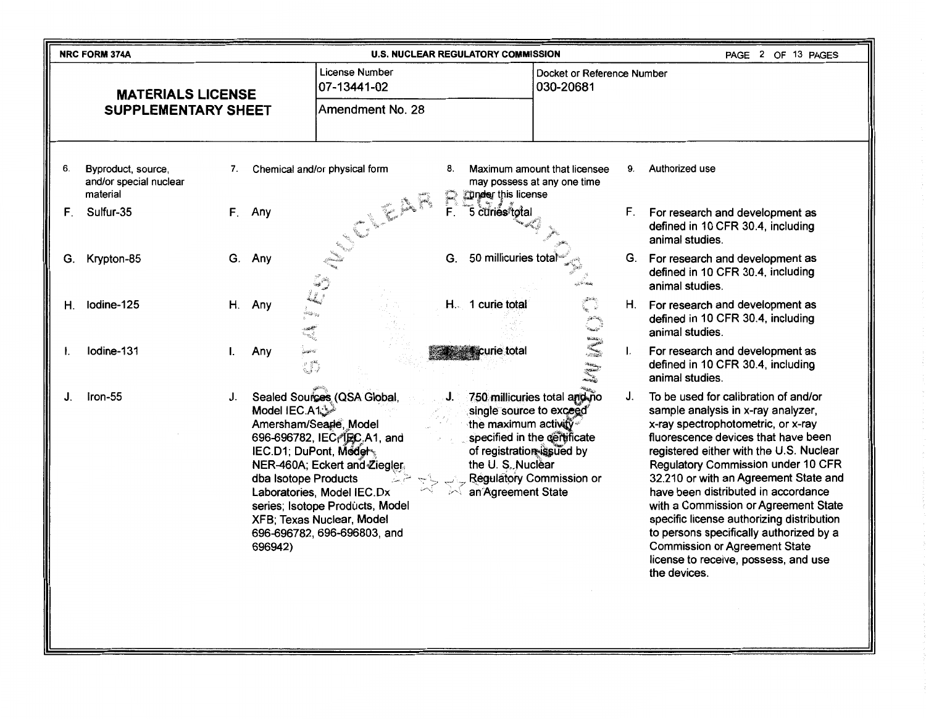|    | <b>NRC FORM 374A</b>                                     |    |                                                                                           |                                                                                                                                                                                                                                                     |              | <b>U.S. NUCLEAR REGULATORY COMMISSION</b>                                                                              |                                                                                          |    | PAGE 2 OF 13 PAGES                                                                                                                                                                                                                                                                                                                                                                                                                                                                                                                                              |
|----|----------------------------------------------------------|----|-------------------------------------------------------------------------------------------|-----------------------------------------------------------------------------------------------------------------------------------------------------------------------------------------------------------------------------------------------------|--------------|------------------------------------------------------------------------------------------------------------------------|------------------------------------------------------------------------------------------|----|-----------------------------------------------------------------------------------------------------------------------------------------------------------------------------------------------------------------------------------------------------------------------------------------------------------------------------------------------------------------------------------------------------------------------------------------------------------------------------------------------------------------------------------------------------------------|
|    | <b>MATERIALS LICENSE</b>                                 |    |                                                                                           | License Number<br>07-13441-02                                                                                                                                                                                                                       |              |                                                                                                                        | Docket or Reference Number<br>030-20681                                                  |    |                                                                                                                                                                                                                                                                                                                                                                                                                                                                                                                                                                 |
|    | <b>SUPPLEMENTARY SHEET</b>                               |    |                                                                                           | Amendment No. 28                                                                                                                                                                                                                                    |              |                                                                                                                        |                                                                                          |    |                                                                                                                                                                                                                                                                                                                                                                                                                                                                                                                                                                 |
| 6. | Byproduct, source,<br>and/or special nuclear<br>material | 7. |                                                                                           | Chemical and/or physical form                                                                                                                                                                                                                       | 8.           | Tinder this license                                                                                                    | Maximum amount that licensee<br>may possess at any one time                              | 9. | Authorized use                                                                                                                                                                                                                                                                                                                                                                                                                                                                                                                                                  |
| F. | Sulfur-35                                                | F. | Any                                                                                       | No Carpenter Road                                                                                                                                                                                                                                   | $\mathbb{R}$ | 5 curiés total                                                                                                         |                                                                                          | F. | For research and development as<br>defined in 10 CFR 30.4, including<br>animal studies.                                                                                                                                                                                                                                                                                                                                                                                                                                                                         |
| G. | Krypton-85                                               |    | G. Any                                                                                    |                                                                                                                                                                                                                                                     | G.           | 50 millicuries tota                                                                                                    |                                                                                          | G. | For research and development as<br>defined in 10 CFR 30.4, including<br>animal studies.                                                                                                                                                                                                                                                                                                                                                                                                                                                                         |
| Н. | lodine-125                                               | Η. | Any                                                                                       |                                                                                                                                                                                                                                                     |              | H. 1 curie total                                                                                                       | L.<br>gali ali<br>Manazi                                                                 |    | H. For research and development as<br>defined in 10 CFR 30.4, including<br>animal studies.                                                                                                                                                                                                                                                                                                                                                                                                                                                                      |
| Ι. | Iodine-131                                               | I. | Any<br>27                                                                                 |                                                                                                                                                                                                                                                     |              | curie total                                                                                                            | ر شاندان<br>الافرنس<br>الافرنسي<br>الافتتان                                              | I. | For research and development as<br>defined in 10 CFR 30.4, including<br>animal studies.                                                                                                                                                                                                                                                                                                                                                                                                                                                                         |
| J. | Iron-55                                                  | J. | <sup>ش</sup> َیْ:Model IEC.A1<br>IEC.D1; DuPont, Model<br>dba Isotope Products<br>696942) | Sealed Sources (QSA Global,<br>Amersham/Seagle, Model<br>696-696782, IEC, IEC, A1, and<br>NER-460A; Eckert and Ziegler<br>Laboratories, Model IEC.Dx<br>series; Isotope Products, Model<br>XFB; Texas Nuclear, Model<br>696-696782, 696-696803, and |              | single source to exceed<br>the maximum activity<br>of registration issued by<br>the U.S. Nuclear<br>an Agreement State | 750 millicuries total and no<br>specified in the certificate<br>Regulatory Commission or | J. | To be used for calibration of and/or<br>sample analysis in x-ray analyzer,<br>x-ray spectrophotometric, or x-ray<br>fluorescence devices that have been<br>registered either with the U.S. Nuclear<br><b>Regulatory Commission under 10 CFR</b><br>32.210 or with an Agreement State and<br>have been distributed in accordance<br>with a Commission or Agreement State<br>specific license authorizing distribution<br>to persons specifically authorized by a<br><b>Commission or Agreement State</b><br>license to receive, possess, and use<br>the devices. |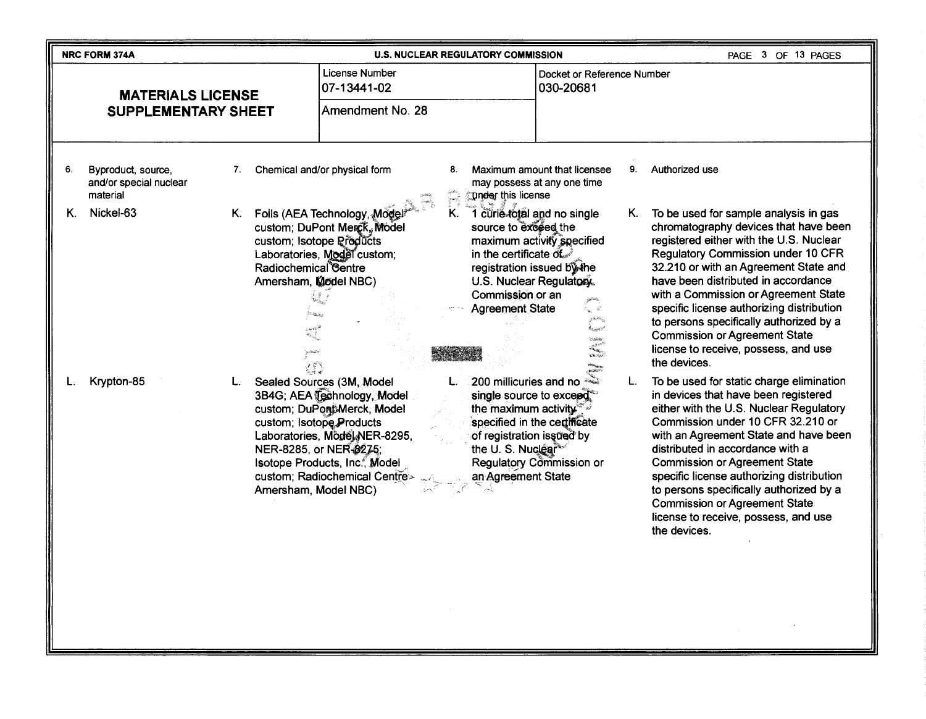| <b>License Number</b><br>Docket or Reference Number<br>07-13441-02<br>030-20681<br><b>MATERIALS LICENSE</b><br>Amendment No. 28<br><b>SUPPLEMENTARY SHEET</b><br>Chemical and/or physical form<br>Maximum amount that licensee<br>9.<br>Authorized use<br>6.<br>Byproduct, source,<br>8.<br>7.<br>and/or special nuclear<br>may possess at any one time<br>inter.<br>Græn<br>material<br><b>under this license</b><br>Nickel-63<br>K.<br>Foils (AEA Technology, Mode<br>1 curie total and no single<br>To be used for sample analysis in gas<br>Κ.<br>Κ.<br>Κ.<br>chromatography devices that have been<br>custom; DuPont Merck, Model<br>source to exceed the<br>registered either with the U.S. Nuclear<br>maximum activity specified<br>custom; Isotope Products<br><b>Regulatory Commission under 10 CFR</b><br>in the certificate of<br>Laboratories, Model custom;<br>32.210 or with an Agreement State and<br>Radiochemical Centre<br>registration issued by the<br>have been distributed in accordance<br>U.S. Nuclear Regulatory.<br>Amersham, Model NBC)<br>with a Commission or Agreement State<br>Commission or an<br>specific license authorizing distribution<br><b>Agreement State</b><br>್ಷ ಘ<br>to persons specifically authorized by a<br><b>Commission or Agreement State</b><br>'z tsinte<br><b>STORES</b><br>license to receive, possess, and use<br><b>Michael</b><br>the devices.<br>200 millicuries and no<br>To be used for static charge elimination<br>Sealed Sources (3M, Model<br>Krypton-85<br>L.<br>in devices that have been registered<br>3B4G; AEA Technology, Model<br>single source to exceed.<br>either with the U.S. Nuclear Regulatory<br>custom; DuPontMerck, Model<br>the maximum activity <sup>®</sup><br>Commission under 10 CFR 32.210 or<br>specified in the certificate<br>custom; Isotope Products<br>with an Agreement State and have been<br>of registration issued by<br>Laboratories, Model NER-8295,<br>distributed in accordance with a<br>the U.S. Nuclear<br>NER-8285, or NER-8275;<br>Regulatory Commission or<br><b>Commission or Agreement State</b><br>Isotope Products, Inc., Model<br>specific license authorizing distribution<br>custom; Radiochemical Centre><br>an Agreement State<br>to persons specifically authorized by a<br>Amersham, Model NBC)<br><b>Commission or Agreement State</b><br>license to receive, possess, and use<br>the devices. | NRC FORM 374A |  |  | <b>U.S. NUCLEAR REGULATORY COMMISSION</b> |  | PAGE 3 OF 13 PAGES |
|------------------------------------------------------------------------------------------------------------------------------------------------------------------------------------------------------------------------------------------------------------------------------------------------------------------------------------------------------------------------------------------------------------------------------------------------------------------------------------------------------------------------------------------------------------------------------------------------------------------------------------------------------------------------------------------------------------------------------------------------------------------------------------------------------------------------------------------------------------------------------------------------------------------------------------------------------------------------------------------------------------------------------------------------------------------------------------------------------------------------------------------------------------------------------------------------------------------------------------------------------------------------------------------------------------------------------------------------------------------------------------------------------------------------------------------------------------------------------------------------------------------------------------------------------------------------------------------------------------------------------------------------------------------------------------------------------------------------------------------------------------------------------------------------------------------------------------------------------------------------------------------------------------------------------------------------------------------------------------------------------------------------------------------------------------------------------------------------------------------------------------------------------------------------------------------------------------------------------------------------------------------------------------------------------------------------------------------------------------------------------------------------------------------------|---------------|--|--|-------------------------------------------|--|--------------------|
|                                                                                                                                                                                                                                                                                                                                                                                                                                                                                                                                                                                                                                                                                                                                                                                                                                                                                                                                                                                                                                                                                                                                                                                                                                                                                                                                                                                                                                                                                                                                                                                                                                                                                                                                                                                                                                                                                                                                                                                                                                                                                                                                                                                                                                                                                                                                                                                                                        |               |  |  |                                           |  |                    |
|                                                                                                                                                                                                                                                                                                                                                                                                                                                                                                                                                                                                                                                                                                                                                                                                                                                                                                                                                                                                                                                                                                                                                                                                                                                                                                                                                                                                                                                                                                                                                                                                                                                                                                                                                                                                                                                                                                                                                                                                                                                                                                                                                                                                                                                                                                                                                                                                                        |               |  |  |                                           |  |                    |
|                                                                                                                                                                                                                                                                                                                                                                                                                                                                                                                                                                                                                                                                                                                                                                                                                                                                                                                                                                                                                                                                                                                                                                                                                                                                                                                                                                                                                                                                                                                                                                                                                                                                                                                                                                                                                                                                                                                                                                                                                                                                                                                                                                                                                                                                                                                                                                                                                        |               |  |  |                                           |  |                    |
|                                                                                                                                                                                                                                                                                                                                                                                                                                                                                                                                                                                                                                                                                                                                                                                                                                                                                                                                                                                                                                                                                                                                                                                                                                                                                                                                                                                                                                                                                                                                                                                                                                                                                                                                                                                                                                                                                                                                                                                                                                                                                                                                                                                                                                                                                                                                                                                                                        |               |  |  |                                           |  |                    |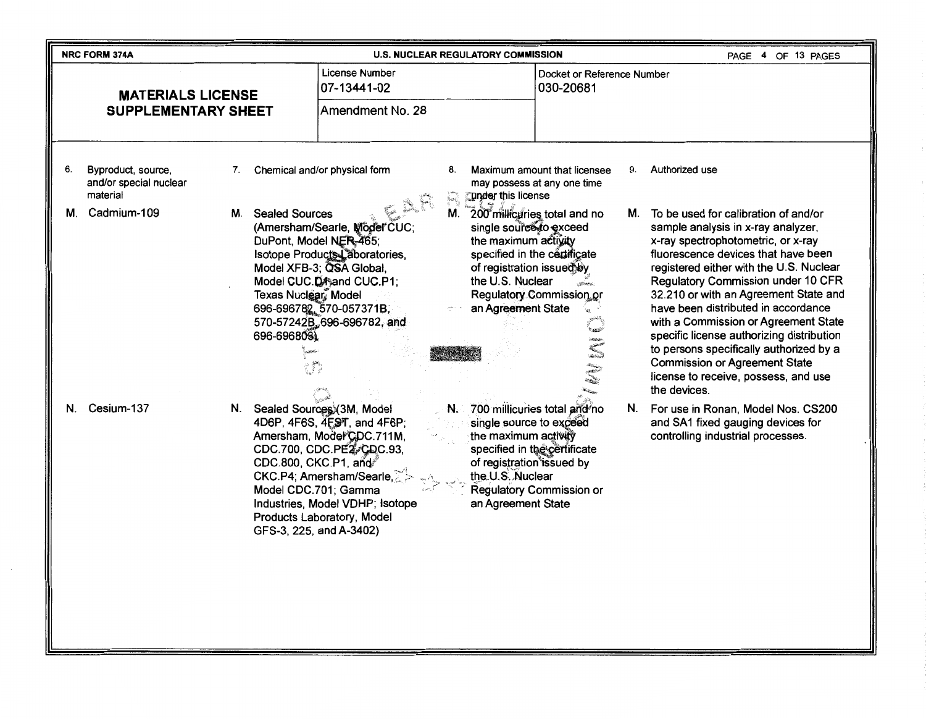|    | <b>NRC FORM 374A</b>                                     |                                                                                             |                                                                                                                                                                                                                                                                   |             | <b>U.S. NUCLEAR REGULATORY COMMISSION</b>                                                                                                                                                                                  |    | PAGE 4 OF 13 PAGES                                                                                                                                                                                                                                                                                                                                                                                                                                                                                                                                       |
|----|----------------------------------------------------------|---------------------------------------------------------------------------------------------|-------------------------------------------------------------------------------------------------------------------------------------------------------------------------------------------------------------------------------------------------------------------|-------------|----------------------------------------------------------------------------------------------------------------------------------------------------------------------------------------------------------------------------|----|----------------------------------------------------------------------------------------------------------------------------------------------------------------------------------------------------------------------------------------------------------------------------------------------------------------------------------------------------------------------------------------------------------------------------------------------------------------------------------------------------------------------------------------------------------|
|    | <b>MATERIALS LICENSE</b>                                 |                                                                                             | <b>License Number</b><br>07-13441-02                                                                                                                                                                                                                              |             | Docket or Reference Number<br>030-20681                                                                                                                                                                                    |    |                                                                                                                                                                                                                                                                                                                                                                                                                                                                                                                                                          |
|    | <b>SUPPLEMENTARY SHEET</b>                               |                                                                                             | Amendment No. 28                                                                                                                                                                                                                                                  |             |                                                                                                                                                                                                                            |    |                                                                                                                                                                                                                                                                                                                                                                                                                                                                                                                                                          |
| 6. | Byproduct, source,<br>and/or special nuclear<br>material | 7.                                                                                          | Chemical and/or physical form                                                                                                                                                                                                                                     | 8.<br>han C | Maximum amount that licensee<br>may possess at any one time<br>Tunder this license                                                                                                                                         | 9. | Authorized use                                                                                                                                                                                                                                                                                                                                                                                                                                                                                                                                           |
| М. | Cadmium-109                                              | М.<br><b>Sealed Sources</b><br>DuPont, Model NER-465;<br>Texas Nuclear Model<br>696-6968031 | (Amersham/Searle, Mödel CUC;<br>Isotope Products Laboratories,<br>Model XFB-3; QSA Global,<br>Model CUC.DA and CUC.P.1;<br>696-696782, 570-057371B,<br>570-57242B, 696-696782, and                                                                                |             | M. 200 millicuries total and no<br>single source to exceed<br>the maximum activity<br>specified in the certificate<br>of registration issued by<br>the U.S. Nuclear<br>Regulatory Commission or<br>an Agreement State<br>E | М. | To be used for calibration of and/or<br>sample analysis in x-ray analyzer,<br>x-ray spectrophotometric, or x-ray<br>fluorescence devices that have been<br>registered either with the U.S. Nuclear<br>Regulatory Commission under 10 CFR<br>32.210 or with an Agreement State and<br>have been distributed in accordance<br>with a Commission or Agreement State<br>specific license authorizing distribution<br>to persons specifically authorized by a<br><b>Commission or Agreement State</b><br>license to receive, possess, and use<br>the devices. |
| N. | Cesium-137                                               | N.<br>CDC.800, CKC.P1, and                                                                  | Sealed Sources (3M, Model<br>4D6P, 4F6S, 4FST, and 4F6P;<br>Amersham, Model CDC.711M,<br>CDC.700, CDC.PE2/CDC.93,<br>CKC.P4; Amersham/Searle,<br>Model CDC.701; Gamma<br>Industries, Model VDHP; Isotope<br>Products Laboratory, Model<br>GFS-3, 225, and A-3402) |             | N. 700 millicuries total and no<br>single source to exceed<br>the maximum activity<br>specified in the certificate<br>of registration issued by<br>the U.S. Nuclear<br>Regulatory Commission or<br>an Agreement State      |    | N. For use in Ronan, Model Nos. CS200<br>and SA1 fixed gauging devices for<br>controlling industrial processes.                                                                                                                                                                                                                                                                                                                                                                                                                                          |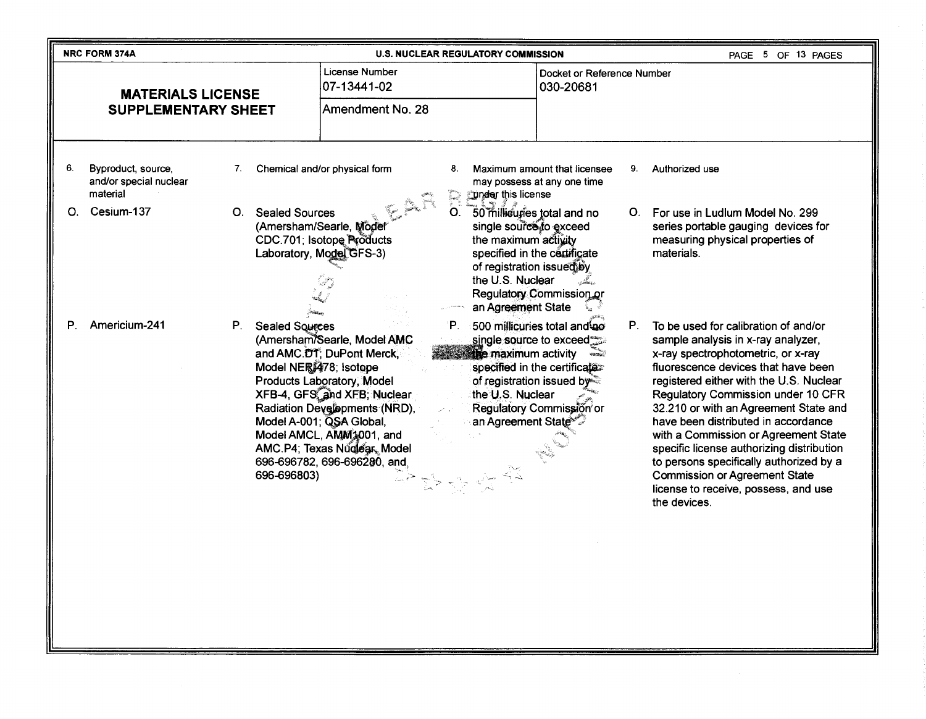|    | <b>NRC FORM 374A</b>                                     |                                                                      |                                                                                                                                                                                                                                                                                | <b>U.S. NUCLEAR REGULATORY COMMISSION</b>                                                                                                                             |                                                                                                                                                   |    | PAGE 5 OF 13 PAGES                                                                                                                                                                                                                                                                                                                                                                                                                                                                                                                                       |
|----|----------------------------------------------------------|----------------------------------------------------------------------|--------------------------------------------------------------------------------------------------------------------------------------------------------------------------------------------------------------------------------------------------------------------------------|-----------------------------------------------------------------------------------------------------------------------------------------------------------------------|---------------------------------------------------------------------------------------------------------------------------------------------------|----|----------------------------------------------------------------------------------------------------------------------------------------------------------------------------------------------------------------------------------------------------------------------------------------------------------------------------------------------------------------------------------------------------------------------------------------------------------------------------------------------------------------------------------------------------------|
|    | <b>MATERIALS LICENSE</b>                                 |                                                                      | <b>License Number</b><br>07-13441-02                                                                                                                                                                                                                                           |                                                                                                                                                                       | Docket or Reference Number<br>030-20681                                                                                                           |    |                                                                                                                                                                                                                                                                                                                                                                                                                                                                                                                                                          |
|    | <b>SUPPLEMENTARY SHEET</b>                               |                                                                      | Amendment No. 28                                                                                                                                                                                                                                                               |                                                                                                                                                                       |                                                                                                                                                   |    |                                                                                                                                                                                                                                                                                                                                                                                                                                                                                                                                                          |
| 6. | Byproduct, source,<br>and/or special nuclear<br>material | 7.                                                                   | Chemical and/or physical form                                                                                                                                                                                                                                                  | 8.<br>this license<br>kana.<br>Kata                                                                                                                                   | Maximum amount that licensee<br>may possess at any one time                                                                                       | 9. | Authorized use                                                                                                                                                                                                                                                                                                                                                                                                                                                                                                                                           |
| О. | Cesium-137                                               | <b>Sealed Sources</b><br>О.                                          | (Amersham/Searle, Mode<br>CDC.701; Isotope Products<br>Laboratory, Model GFS-3)                                                                                                                                                                                                | $O_{\rm c}$<br>single source to exceed<br>the maximum activity<br>specified in the certificate<br>of registration issued by<br>the U.S. Nuclear<br>an Agreement State | 50 millicuries total and no<br>Regulatory Commission or                                                                                           | O. | For use in Ludlum Model No. 299<br>series portable gauging devices for<br>measuring physical properties of<br>materials.                                                                                                                                                                                                                                                                                                                                                                                                                                 |
| Р. | Americium-241                                            | P.<br><b>Sealed Squrees</b><br>Model NER 478; Isotope<br>696-696803) | (Amersham/Searle, Model AMC<br>and AMC.DT; DuPont Merck,<br>Products Laboratory, Model<br>XFB-4, GFS, and XFB; Nuclear<br>Radiation Developments (NRD),<br>Model A-001; QSA Global,<br>Model AMCL, AMM1001, and<br>AMC.P4; Texas Nuglear, Model<br>696-696782, 696-696280, and | Έ.<br>the maximum activity<br>the U.S. Nuclear<br>an Agreement State <sup>s</sup>                                                                                     | 500 millicuries total and go<br>single source to exceed<br>specified in the certificater<br>of registration issued by<br>Regulatory Commission or | P. | To be used for calibration of and/or<br>sample analysis in x-ray analyzer,<br>x-ray spectrophotometric, or x-ray<br>fluorescence devices that have been<br>registered either with the U.S. Nuclear<br>Regulatory Commission under 10 CFR<br>32.210 or with an Agreement State and<br>have been distributed in accordance<br>with a Commission or Agreement State<br>specific license authorizing distribution<br>to persons specifically authorized by a<br><b>Commission or Agreement State</b><br>license to receive, possess, and use<br>the devices. |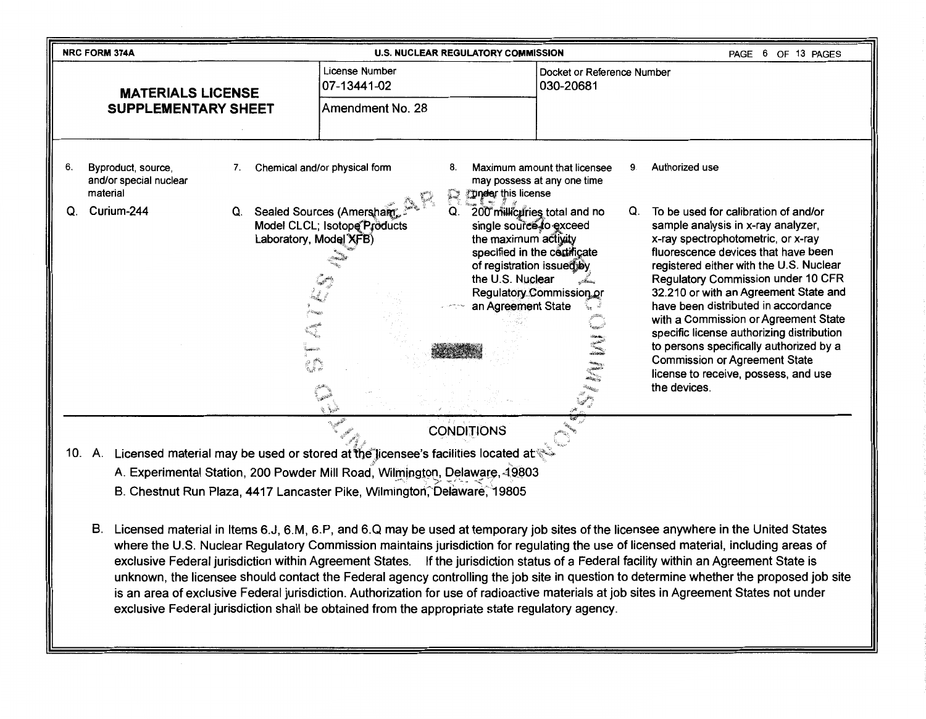|    | <b>NRC FORM 374A</b>                                                                                                                  | <b>U.S. NUCLEAR REGULATORY COMMISSION</b>                                                                                                                                                                                                                                                                                                                                                                                                                                                                                                                                                                                                                            |                                                                                                        | PAGE 6 OF 13 PAGES                                                                                                                                                                                                                                                                                                                                                                                                                                                                                                                                       |
|----|---------------------------------------------------------------------------------------------------------------------------------------|----------------------------------------------------------------------------------------------------------------------------------------------------------------------------------------------------------------------------------------------------------------------------------------------------------------------------------------------------------------------------------------------------------------------------------------------------------------------------------------------------------------------------------------------------------------------------------------------------------------------------------------------------------------------|--------------------------------------------------------------------------------------------------------|----------------------------------------------------------------------------------------------------------------------------------------------------------------------------------------------------------------------------------------------------------------------------------------------------------------------------------------------------------------------------------------------------------------------------------------------------------------------------------------------------------------------------------------------------------|
|    | <b>MATERIALS LICENSE</b>                                                                                                              | License Number<br>07-13441-02                                                                                                                                                                                                                                                                                                                                                                                                                                                                                                                                                                                                                                        | Docket or Reference Number<br>030-20681                                                                |                                                                                                                                                                                                                                                                                                                                                                                                                                                                                                                                                          |
|    | <b>SUPPLEMENTARY SHEET</b>                                                                                                            | Amendment No. 28                                                                                                                                                                                                                                                                                                                                                                                                                                                                                                                                                                                                                                                     |                                                                                                        |                                                                                                                                                                                                                                                                                                                                                                                                                                                                                                                                                          |
|    |                                                                                                                                       |                                                                                                                                                                                                                                                                                                                                                                                                                                                                                                                                                                                                                                                                      |                                                                                                        |                                                                                                                                                                                                                                                                                                                                                                                                                                                                                                                                                          |
| 6. | Byproduct, source,<br>7.<br>and/or special nuclear<br>material                                                                        | Chemical and/or physical form<br>8.<br>Tinder this license<br>R                                                                                                                                                                                                                                                                                                                                                                                                                                                                                                                                                                                                      | Maximum amount that licensee<br>9.<br>may possess at any one time                                      | Authorized use                                                                                                                                                                                                                                                                                                                                                                                                                                                                                                                                           |
| Q. | Curium-244<br>Q.<br>Laboratory, Model XFB)<br>en                                                                                      | Sealed Sources (Amersham<br>Q.<br>Model CLCL; Isotope Products<br>single source to exceed<br>the maximum activity<br>of registration issued by<br>the U.S. Nuclear<br>an Agreement State                                                                                                                                                                                                                                                                                                                                                                                                                                                                             | 200 millicuries total and no<br>Q.<br>specified in the contificate<br>Regulatory Commission or<br>Hill | To be used for calibration of and/or<br>sample analysis in x-ray analyzer,<br>x-ray spectrophotometric, or x-ray<br>fluorescence devices that have been<br>registered either with the U.S. Nuclear<br>Regulatory Commission under 10 CFR<br>32.210 or with an Agreement State and<br>have been distributed in accordance<br>with a Commission or Agreement State<br>specific license authorizing distribution<br>to persons specifically authorized by a<br><b>Commission or Agreement State</b><br>license to receive, possess, and use<br>the devices. |
|    |                                                                                                                                       | <b>CONDITIONS</b>                                                                                                                                                                                                                                                                                                                                                                                                                                                                                                                                                                                                                                                    |                                                                                                        |                                                                                                                                                                                                                                                                                                                                                                                                                                                                                                                                                          |
|    | 10. A. Licensed material may be used or stored at the licensee's facilities located at                                                |                                                                                                                                                                                                                                                                                                                                                                                                                                                                                                                                                                                                                                                                      |                                                                                                        |                                                                                                                                                                                                                                                                                                                                                                                                                                                                                                                                                          |
|    |                                                                                                                                       | A. Experimental Station, 200 Powder Mill Road, Wilmington, Delaware, 19803                                                                                                                                                                                                                                                                                                                                                                                                                                                                                                                                                                                           |                                                                                                        |                                                                                                                                                                                                                                                                                                                                                                                                                                                                                                                                                          |
|    |                                                                                                                                       | B. Chestnut Run Plaza, 4417 Lancaster Pike, Wilmington, Delaware, 19805                                                                                                                                                                                                                                                                                                                                                                                                                                                                                                                                                                                              |                                                                                                        |                                                                                                                                                                                                                                                                                                                                                                                                                                                                                                                                                          |
|    | B. Licensed material in Items 6.J, 6.M, 6.P, and 6.Q may be used at temporary job sites of the licensee anywhere in the United States | where the U.S. Nuclear Regulatory Commission maintains jurisdiction for regulating the use of licensed material, including areas of<br>exclusive Federal jurisdiction within Agreement States. If the jurisdiction status of a Federal facility within an Agreement State is<br>unknown, the licensee should contact the Federal agency controlling the job site in question to determine whether the proposed job site<br>is an area of exclusive Federal jurisdiction. Authorization for use of radioactive materials at job sites in Agreement States not under<br>exclusive Federal jurisdiction shall be obtained from the appropriate state regulatory agency. |                                                                                                        |                                                                                                                                                                                                                                                                                                                                                                                                                                                                                                                                                          |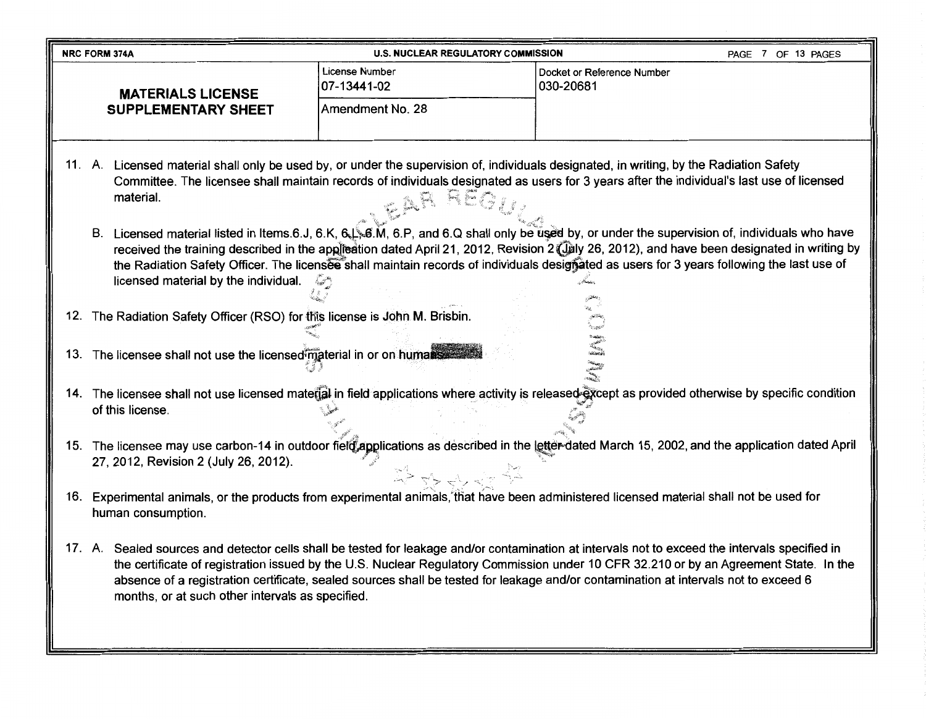|     | <b>NRC FORM 374A</b>                                                        | <b>U.S. NUCLEAR REGULATORY COMMISSION</b> | PAGE 7 OF 13 PAGES                                                                                                                                                                                                                                                                                                                                                                                                                                                                                                                                                                                                                                                                                                                     |
|-----|-----------------------------------------------------------------------------|-------------------------------------------|----------------------------------------------------------------------------------------------------------------------------------------------------------------------------------------------------------------------------------------------------------------------------------------------------------------------------------------------------------------------------------------------------------------------------------------------------------------------------------------------------------------------------------------------------------------------------------------------------------------------------------------------------------------------------------------------------------------------------------------|
|     | <b>MATERIALS LICENSE</b>                                                    | <b>License Number</b><br>07-13441-02      | Docket or Reference Number<br>030-20681                                                                                                                                                                                                                                                                                                                                                                                                                                                                                                                                                                                                                                                                                                |
|     | <b>SUPPLEMENTARY SHEET</b>                                                  | Amendment No. 28                          |                                                                                                                                                                                                                                                                                                                                                                                                                                                                                                                                                                                                                                                                                                                                        |
|     | material.<br>licensed material by the individual.                           | CAR REG                                   | 11. A. Licensed material shall only be used by, or under the supervision of, individuals designated, in writing, by the Radiation Safety<br>Committee. The licensee shall maintain records of individuals designated as users for 3 years after the individual's last use of licensed<br>B. Licensed material listed in Items.6.J, 6.K, 6. S., 6.M, 6.P, and 6.Q shall only be used by, or under the supervision of, individuals who have<br>received the training described in the application dated April 21, 2012, Revision 2 (July 26, 2012), and have been designated in writing by<br>the Radiation Safety Officer. The licensee shall maintain records of individuals designated as users for 3 years following the last use of |
|     | 12. The Radiation Safety Officer (RSO) for this license is John M. Brisbin. |                                           |                                                                                                                                                                                                                                                                                                                                                                                                                                                                                                                                                                                                                                                                                                                                        |
|     | 13. The licensee shall not use the licensed material in or on humans        |                                           | $\begin{array}{l} \mathcal{R} = \mathop{\mathsf{dist}}\nolimits_{\mathcal{A}} \times \mathop{\mathsf{dist}}\nolimits_{\mathcal{A}} \times \mathop{\mathsf{dist}}\nolimits_{\mathcal{A}} \times \mathop{\mathsf{dist}}\nolimits_{\mathcal{A}} \times \mathop{\mathsf{dist}}\nolimits_{\mathcal{A}} \times \mathop{\mathsf{dist}}\nolimits_{\mathcal{A}} \times \mathop{\mathsf{dist}}\nolimits_{\mathcal{A}} \times \mathop{\mathsf{dist}}\nolimits_{\mathcal{A}} \times \mathop{\mathsf{dist}}\nolimits_{\mathcal{A}} \times \mathop{\mathsf{dist$                                                                                                                                                                                     |
|     | of this license.                                                            |                                           | 14. The licensee shall not use licensed material in field applications where activity is released gxcept as provided otherwise by specific condition                                                                                                                                                                                                                                                                                                                                                                                                                                                                                                                                                                                   |
|     | 27, 2012, Revision 2 (July 26, 2012).                                       | 学生的世界                                     | 15. The licensee may use carbon-14 in outdoor field applications as described in the letter dated March 15, 2002, and the application dated April                                                                                                                                                                                                                                                                                                                                                                                                                                                                                                                                                                                      |
| 16. | human consumption.                                                          |                                           | Experimental animals, or the products from experimental animals, that have been administered licensed material shall not be used for                                                                                                                                                                                                                                                                                                                                                                                                                                                                                                                                                                                                   |
|     | months, or at such other intervals as specified.                            |                                           | 17. A. Sealed sources and detector cells shall be tested for leakage and/or contamination at intervals not to exceed the intervals specified in<br>the certificate of registration issued by the U.S. Nuclear Regulatory Commission under 10 CFR 32.210 or by an Agreement State. In the<br>absence of a registration certificate, sealed sources shall be tested for leakage and/or contamination at intervals not to exceed 6                                                                                                                                                                                                                                                                                                        |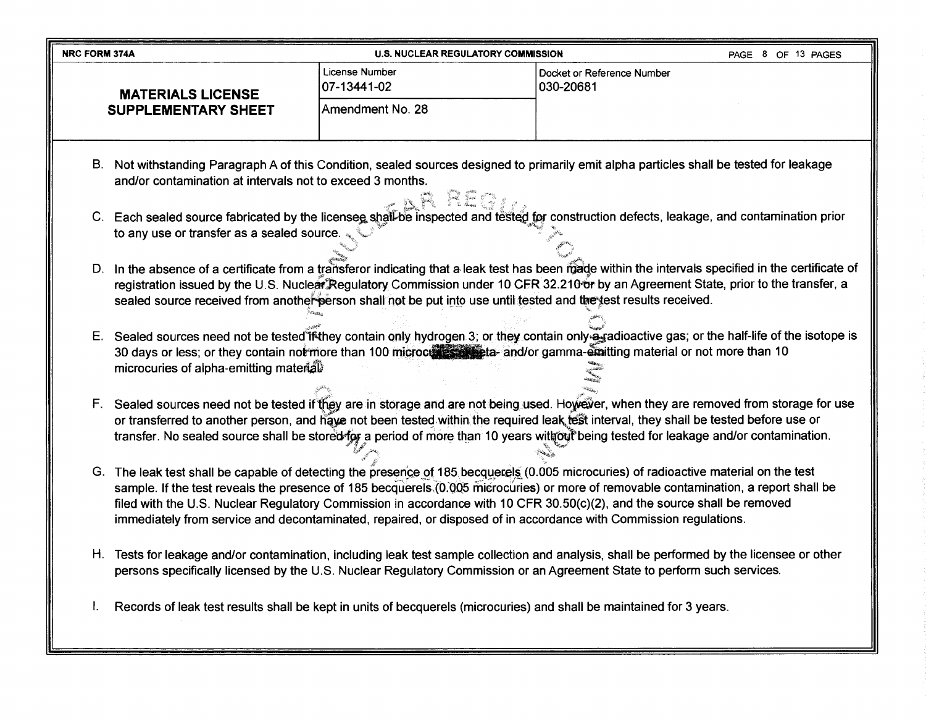| <b>NRC FORM 374A</b> |                                                           | <b>U.S. NUCLEAR REGULATORY COMMISSION</b> |                                                                                                                                                                                                                                                                                                                                                                                                                                                                                                                               | PAGE 8 OF 13 PAGES |
|----------------------|-----------------------------------------------------------|-------------------------------------------|-------------------------------------------------------------------------------------------------------------------------------------------------------------------------------------------------------------------------------------------------------------------------------------------------------------------------------------------------------------------------------------------------------------------------------------------------------------------------------------------------------------------------------|--------------------|
|                      | <b>MATERIALS LICENSE</b>                                  | <b>License Number</b><br>07-13441-02      | Docket or Reference Number<br>030-20681                                                                                                                                                                                                                                                                                                                                                                                                                                                                                       |                    |
|                      | <b>SUPPLEMENTARY SHEET</b>                                | Amendment No. 28                          |                                                                                                                                                                                                                                                                                                                                                                                                                                                                                                                               |                    |
|                      | and/or contamination at intervals not to exceed 3 months. | N REGIL                                   | B. Not withstanding Paragraph A of this Condition, sealed sources designed to primarily emit alpha particles shall be tested for leakage                                                                                                                                                                                                                                                                                                                                                                                      |                    |
|                      | to any use or transfer as a sealed source.                |                                           | C. Each sealed source fabricated by the licensee shall-be inspected and tested for construction defects, leakage, and contamination prior                                                                                                                                                                                                                                                                                                                                                                                     |                    |
|                      |                                                           |                                           | D. In the absence of a certificate from a transferor indicating that a leak test has been made within the intervals specified in the certificate of<br>registration issued by the U.S. Nuclear Regulatory Commission under 10 CER 32.210 or by an Agreement State, prior to the transfer, a<br>sealed source received from another person shall not be put into use until tested and the test results received.                                                                                                               |                    |
|                      | microcuries of alpha-emitting material                    |                                           | E. Sealed sources need not be tested if they contain only hydrogen 3; or they contain only a gadioactive gas; or the half-life of the isotope is<br>30 days or less; or they contain not more than 100 microcures as each and/or gamma-emitting material or not more than 10                                                                                                                                                                                                                                                  |                    |
|                      |                                                           |                                           | F. Sealed sources need not be tested if they are in storage and are not being used. However, when they are removed from storage for use<br>or transferred to another person, and have not been tested within the required leak test interval, they shall be tested before use or<br>transfer. No sealed source shall be stored for a period of more than 10 years without being tested for leakage and/or contamination.                                                                                                      |                    |
|                      |                                                           |                                           | G. The leak test shall be capable of detecting the presence of 185 becquerels (0.005 microcuries) of radioactive material on the test<br>sample. If the test reveals the presence of 185 becquerels (0.005 microcuries) or more of removable contamination, a report shall be<br>filed with the U.S. Nuclear Regulatory Commission in accordance with 10 CFR 30.50(c)(2), and the source shall be removed<br>immediately from service and decontaminated, repaired, or disposed of in accordance with Commission regulations. |                    |

- H. Tests for leakage and/or contamination, including leak test sample collection and analysis, shall be performed by the licensee or other persons specifically licensed by the U.S. Nuclear Regulatory Commission or an Agreement State to perform such services.
- I. Records of leak test results shall be kept in units of becquerels (microcuries) and shall be maintained for 3 years.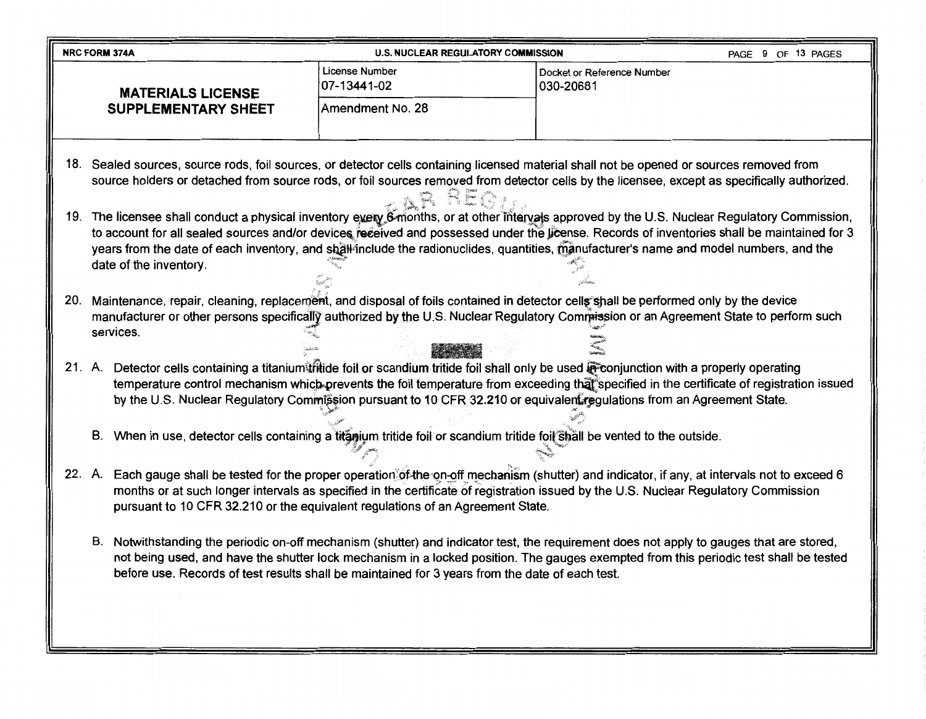| <b>NRC FORM 374A</b>                                                                                                       | <b>U.S. NUCLEAR REGULATORY COMMISSION</b>                                                       | PAGE 9 OF 13 PAGES                                                                                                                                                                                                                                                                                                                                                                                                                     |
|----------------------------------------------------------------------------------------------------------------------------|-------------------------------------------------------------------------------------------------|----------------------------------------------------------------------------------------------------------------------------------------------------------------------------------------------------------------------------------------------------------------------------------------------------------------------------------------------------------------------------------------------------------------------------------------|
| <b>MATERIALS LICENSE</b>                                                                                                   | License Number<br>07-13441-02                                                                   | Docket or Reference Number<br>030-20681                                                                                                                                                                                                                                                                                                                                                                                                |
| <b>SUPPLEMENTARY SHEET</b>                                                                                                 | Amendment No. 28                                                                                |                                                                                                                                                                                                                                                                                                                                                                                                                                        |
|                                                                                                                            | REG                                                                                             | 18. Sealed sources, source rods, foil sources, or detector cells containing licensed material shall not be opened or sources removed from<br>source holders or detached from source rods, or foil sources removed from detector cells by the licensee, except as specifically authorized.                                                                                                                                              |
| date of the inventory.                                                                                                     |                                                                                                 | 19. The licensee shall conduct a physical inventory every 6-months, or at other intervals approved by the U.S. Nuclear Regulatory Commission,<br>to account for all sealed sources and/or devices received and possessed under the license. Records of inventories shall be maintained for 3<br>years from the date of each inventory, and shall include the radionuclides, quantities, manufacturer's name and model numbers, and the |
| services.                                                                                                                  |                                                                                                 | 20. Maintenance, repair, cleaning, replacement, and disposal of foils contained in detector cells shall be performed only by the device<br>manufacturer or other persons specifically authorized by the U.S. Nuclear Regulatory Commission or an Agreement State to perform such                                                                                                                                                       |
|                                                                                                                            |                                                                                                 | 21. A. Detector cells containing a titanium tritide foil or scandium tritide foil shall only be used preonjunction with a properly operating<br>temperature control mechanism which prevents the foil temperature from exceeding that specified in the certificate of registration issued<br>by the U.S. Nuclear Regulatory Commission pursuant to 10 CFR 32.210 or equivalent regulations from an Agreement State.                    |
| B. When in use, detector cells containing a titagium tritide foil or scandium tritide foil shall be vented to the outside. |                                                                                                 |                                                                                                                                                                                                                                                                                                                                                                                                                                        |
|                                                                                                                            | pursuant to 10 CFR 32.210 or the equivalent regulations of an Agreement State.                  | 22. A. Each gauge shall be tested for the proper operation of the on-off mechanism (shutter) and indicator, if any, at intervals not to exceed 6<br>months or at such longer intervals as specified in the certificate of registration issued by the U.S. Nuclear Regulatory Commission                                                                                                                                                |
| В.                                                                                                                         | before use. Records of test results shall be maintained for 3 years from the date of each test. | Notwithstanding the periodic on-off mechanism (shutter) and indicator test, the requirement does not apply to gauges that are stored,<br>not being used, and have the shutter lock mechanism in a locked position. The gauges exempted from this periodic test shall be tested                                                                                                                                                         |
|                                                                                                                            |                                                                                                 |                                                                                                                                                                                                                                                                                                                                                                                                                                        |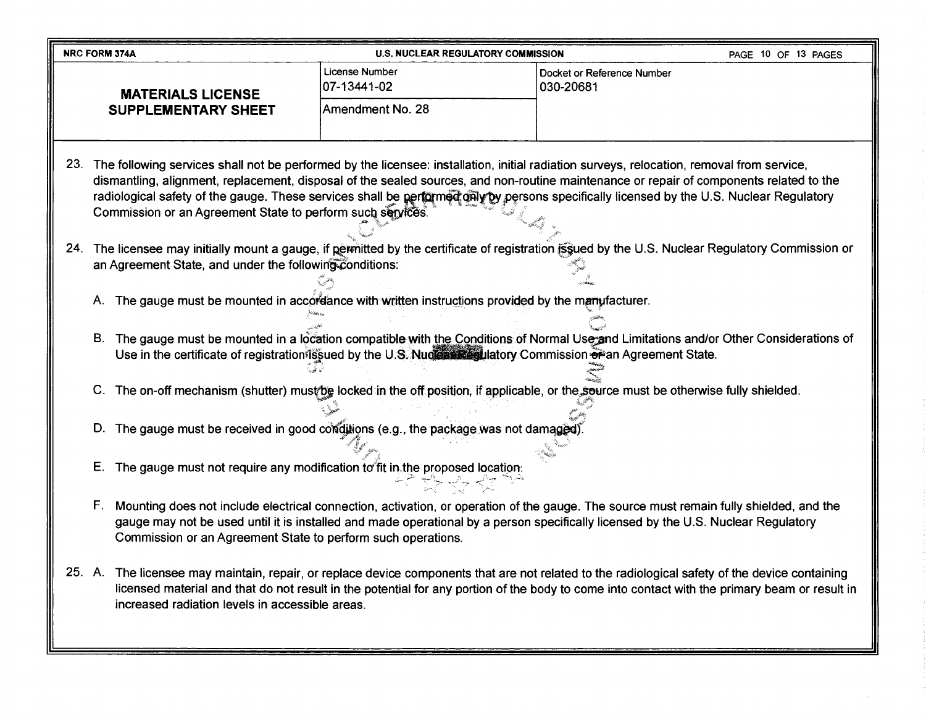| <b>NRC FORM 374A</b>                                                                                                                                                                                         | <b>U.S. NUCLEAR REGULATORY COMMISSION</b>                                                                                                                                                                                                                                                                                                                                                                                                                                                          |                                         | PAGE 10 OF 13 PAGES |  |  |  |  |
|--------------------------------------------------------------------------------------------------------------------------------------------------------------------------------------------------------------|----------------------------------------------------------------------------------------------------------------------------------------------------------------------------------------------------------------------------------------------------------------------------------------------------------------------------------------------------------------------------------------------------------------------------------------------------------------------------------------------------|-----------------------------------------|---------------------|--|--|--|--|
| <b>MATERIALS LICENSE</b>                                                                                                                                                                                     | License Number<br>07-13441-02                                                                                                                                                                                                                                                                                                                                                                                                                                                                      | Docket or Reference Number<br>030-20681 |                     |  |  |  |  |
| <b>SUPPLEMENTARY SHEET</b>                                                                                                                                                                                   | Amendment No. 28                                                                                                                                                                                                                                                                                                                                                                                                                                                                                   |                                         |                     |  |  |  |  |
|                                                                                                                                                                                                              | 23. The following services shall not be performed by the licensee: installation, initial radiation surveys, relocation, removal from service,<br>dismantling, alignment, replacement, disposal of the sealed sources, and non-routine maintenance or repair of components related to the<br>radiological safety of the gauge. These services shall be performed galy by persons specifically licensed by the U.S. Nuclear Regulatory<br>Commission or an Agreement State to perform such services. |                                         |                     |  |  |  |  |
| 24. The licensee may initially mount a gauge, if permitted by the certificate of registration issued by the U.S. Nuclear Regulatory Commission or<br>an Agreement State, and under the following conditions: |                                                                                                                                                                                                                                                                                                                                                                                                                                                                                                    |                                         |                     |  |  |  |  |
| А.                                                                                                                                                                                                           | The gauge must be mounted in accordance with written instructions provided by the marrufacturer.                                                                                                                                                                                                                                                                                                                                                                                                   |                                         |                     |  |  |  |  |
|                                                                                                                                                                                                              | B. The gauge must be mounted in a location compatible with the Conditions of Normal Use and Limitations and/or Other Considerations of<br>Use in the certificate of registration issued by the U.S. Nuclear Regulatory Commission of an Agreement State.                                                                                                                                                                                                                                           |                                         |                     |  |  |  |  |
|                                                                                                                                                                                                              | C. The on-off mechanism (shutter) must be locked in the off position, if applicable, or the source must be otherwise fully shielded.                                                                                                                                                                                                                                                                                                                                                               |                                         |                     |  |  |  |  |
| D.                                                                                                                                                                                                           | The gauge must be received in good conditions (e.g., the package was not damaged).                                                                                                                                                                                                                                                                                                                                                                                                                 |                                         |                     |  |  |  |  |
| Ε.                                                                                                                                                                                                           | The gauge must not require any modification to fit in the proposed location.                                                                                                                                                                                                                                                                                                                                                                                                                       |                                         |                     |  |  |  |  |
| F.<br>Commission or an Agreement State to perform such operations.                                                                                                                                           | Mounting does not include electrical connection, activation, or operation of the gauge. The source must remain fully shielded, and the<br>gauge may not be used until it is installed and made operational by a person specifically licensed by the U.S. Nuclear Regulatory                                                                                                                                                                                                                        |                                         |                     |  |  |  |  |
| 25. A. The licensee may maintain, repair, or replace device components that are not related to the radiological safety of the device containing<br>increased radiation levels in accessible areas.           | licensed material and that do not result in the potential for any portion of the body to come into contact with the primary beam or result in                                                                                                                                                                                                                                                                                                                                                      |                                         |                     |  |  |  |  |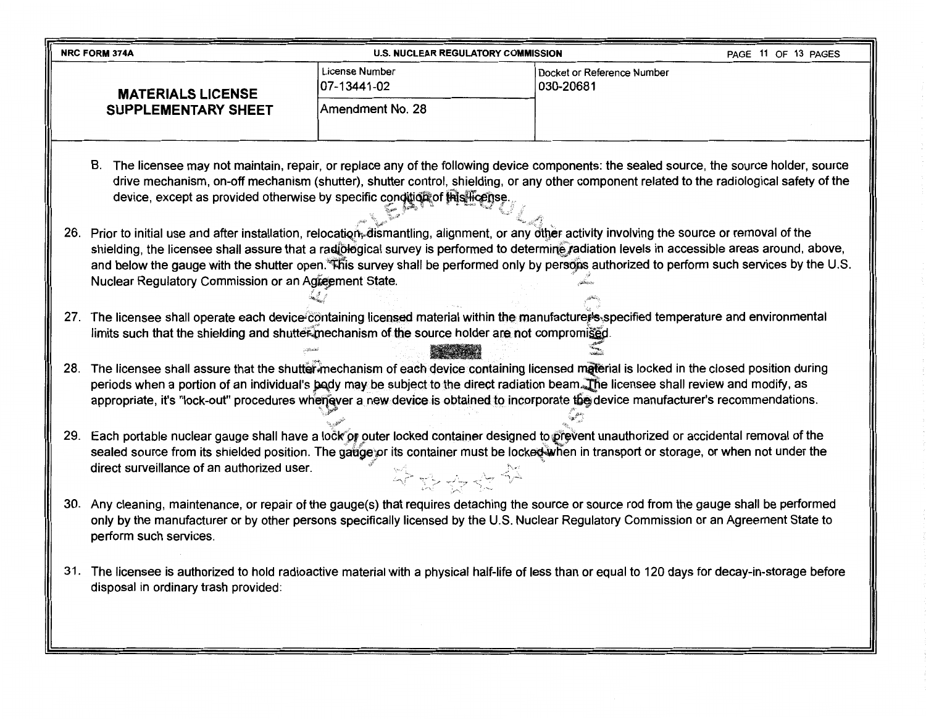|     | <b>NRC FORM 374A</b>                                                                                                                                                                                                                                                                                                                                                                                                                                                                                    | <b>U.S. NUCLEAR REGULATORY COMMISSION</b> |                                         | PAGE 11 OF 13 PAGES |  |  |  |  |
|-----|---------------------------------------------------------------------------------------------------------------------------------------------------------------------------------------------------------------------------------------------------------------------------------------------------------------------------------------------------------------------------------------------------------------------------------------------------------------------------------------------------------|-------------------------------------------|-----------------------------------------|---------------------|--|--|--|--|
|     | <b>MATERIALS LICENSE</b>                                                                                                                                                                                                                                                                                                                                                                                                                                                                                | License Number<br>07-13441-02             | Docket or Reference Number<br>030-20681 |                     |  |  |  |  |
|     | <b>SUPPLEMENTARY SHEET</b>                                                                                                                                                                                                                                                                                                                                                                                                                                                                              | Amendment No. 28                          |                                         |                     |  |  |  |  |
|     | B. The licensee may not maintain, repair, or replace any of the following device components: the sealed source, the source holder, source<br>drive mechanism, on-off mechanism (shutter), shutter control, shielding, or any other component related to the radiological safety of the<br>device, except as provided otherwise by specific condition of this license.                                                                                                                                   |                                           |                                         |                     |  |  |  |  |
|     | 26. Prior to initial use and after installation, relocation, dismantling, alignment, or any other activity involving the source or removal of the<br>shielding, the licensee shall assure that a radiological survey is performed to determine radiation levels in accessible areas around, above,<br>and below the gauge with the shutter open. This survey shall be performed only by persons authorized to perform such services by the U.S.<br>Nuclear Regulatory Commission or an Agreement State. |                                           |                                         |                     |  |  |  |  |
|     | 27. The licensee shall operate each device containing licensed material within the manufacture s specified temperature and environmental<br>limits such that the shielding and shutter mechanism of the source holder are not compromised.                                                                                                                                                                                                                                                              |                                           |                                         |                     |  |  |  |  |
|     | 28. The licensee shall assure that the shutter mechanism of each device containing licensed material is locked in the closed position during<br>periods when a portion of an individual's body may be subject to the direct radiation beam. The licensee shall review and modify, as<br>appropriate, it's "lock-out" procedures whenever a new device is obtained to incorporate the device manufacturer's recommendations.                                                                             |                                           |                                         |                     |  |  |  |  |
|     | 29. Each portable nuclear gauge shall have a lock of outer locked container designed to prevent unauthorized or accidental removal of the<br>sealed source from its shielded position. The gatige or its container must be locked when in transport or storage, or when not under the<br>direct surveillance of an authorized user.                                                                                                                                                                     | 주차주수 소                                    |                                         |                     |  |  |  |  |
|     | 30. Any cleaning, maintenance, or repair of the gauge(s) that requires detaching the source or source rod from the gauge shall be performed<br>only by the manufacturer or by other persons specifically licensed by the U.S. Nuclear Regulatory Commission or an Agreement State to<br>perform such services.                                                                                                                                                                                          |                                           |                                         |                     |  |  |  |  |
| 31. | The licensee is authorized to hold radioactive material with a physical half-life of less than or equal to 120 days for decay-in-storage before<br>disposal in ordinary trash provided:                                                                                                                                                                                                                                                                                                                 |                                           |                                         |                     |  |  |  |  |

١Ľ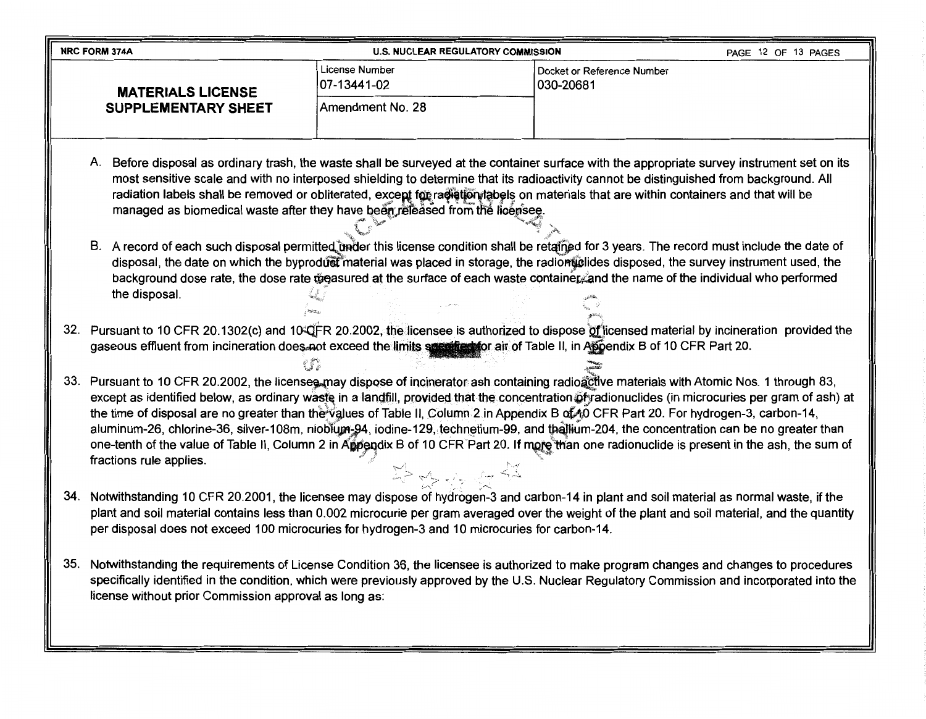| <b>NRC FORM 374A</b>                                                                                                                                                                                                                                                                                                                                                                                                                                                                                                                                                                                                                                                                                                                                               | <b>U.S. NUCLEAR REGULATORY COMMISSION</b>                                                                                                                                                                                                                                 |                                         | PAGE 12 OF 13 PAGES |  |  |  |
|--------------------------------------------------------------------------------------------------------------------------------------------------------------------------------------------------------------------------------------------------------------------------------------------------------------------------------------------------------------------------------------------------------------------------------------------------------------------------------------------------------------------------------------------------------------------------------------------------------------------------------------------------------------------------------------------------------------------------------------------------------------------|---------------------------------------------------------------------------------------------------------------------------------------------------------------------------------------------------------------------------------------------------------------------------|-----------------------------------------|---------------------|--|--|--|
| <b>MATERIALS LICENSE</b>                                                                                                                                                                                                                                                                                                                                                                                                                                                                                                                                                                                                                                                                                                                                           | License Number<br>07-13441-02                                                                                                                                                                                                                                             | Docket or Reference Number<br>030-20681 |                     |  |  |  |
| <b>SUPPLEMENTARY SHEET</b>                                                                                                                                                                                                                                                                                                                                                                                                                                                                                                                                                                                                                                                                                                                                         | Amendment No. 28                                                                                                                                                                                                                                                          |                                         |                     |  |  |  |
| A. Before disposal as ordinary trash, the waste shall be surveyed at the container surface with the appropriate survey instrument set on its<br>most sensitive scale and with no interposed shielding to determine that its radioactivity cannot be distinguished from background. All<br>radiation labels shall be removed or obliterated, except for radiation tabels on materials that are within containers and that will be<br>managed as biomedical waste after they have been released from the licensee.                                                                                                                                                                                                                                                   |                                                                                                                                                                                                                                                                           |                                         |                     |  |  |  |
| B. A record of each such disposal permitted bader this license condition shall be retained for 3 years. The record must include the date of<br>the disposal.                                                                                                                                                                                                                                                                                                                                                                                                                                                                                                                                                                                                       | disposal, the date on which the byproduct material was placed in storage, the radionuclides disposed, the survey instrument used, the<br>background dose rate, the dose rate measured at the surface of each waste container and the name of the individual who performed |                                         |                     |  |  |  |
| 32. Pursuant to 10 CFR 20.1302(c) and 10 QFR 20.2002, the licensee is authorized to dispose of licensed material by incineration provided the<br>gaseous effluent from incineration does not exceed the limits syparited for air of Table II, in Appendix B of 10 CFR Part 20.                                                                                                                                                                                                                                                                                                                                                                                                                                                                                     |                                                                                                                                                                                                                                                                           |                                         |                     |  |  |  |
| 33. Pursuant to 10 CFR 20.2002, the licensee may dispose of incinerator ash containing radioactive materials with Atomic Nos. 1 through 83,<br>except as identified below, as ordinary waste in a landfill, provided that the concentration of radionuclides (in microcuries per gram of ash) at<br>the time of disposal are no greater than the values of Table II, Column 2 in Appendix B of 40 CFR Part 20. For hydrogen-3, carbon-14,<br>aluminum-26, chlorine-36, silver-108m, nioblugn-94, iodine-129, technetium-99, and thallium-204, the concentration can be no greater than<br>one-tenth of the value of Table II, Column 2 in Appendix B of 10 CFR Part 20. If more than one radionuclide is present in the ash, the sum of<br>fractions rule applies. |                                                                                                                                                                                                                                                                           |                                         |                     |  |  |  |
| 34. Notwithstanding 10 CFR 20.2001, the licensee may dispose of hydrogen-3 and carbon-14 in plant and soil material as normal waste, if the<br>plant and soil material contains less than 0.002 microcurie per gram averaged over the weight of the plant and soil material, and the quantity<br>per disposal does not exceed 100 microcuries for hydrogen-3 and 10 microcuries for carbon-14.                                                                                                                                                                                                                                                                                                                                                                     |                                                                                                                                                                                                                                                                           |                                         |                     |  |  |  |
| 35. Notwithstanding the requirements of License Condition 36, the licensee is authorized to make program changes and changes to procedures<br>specifically identified in the condition, which were previously approved by the U.S. Nuclear Regulatory Commission and incorporated into the<br>license without prior Commission approval as long as:                                                                                                                                                                                                                                                                                                                                                                                                                |                                                                                                                                                                                                                                                                           |                                         |                     |  |  |  |